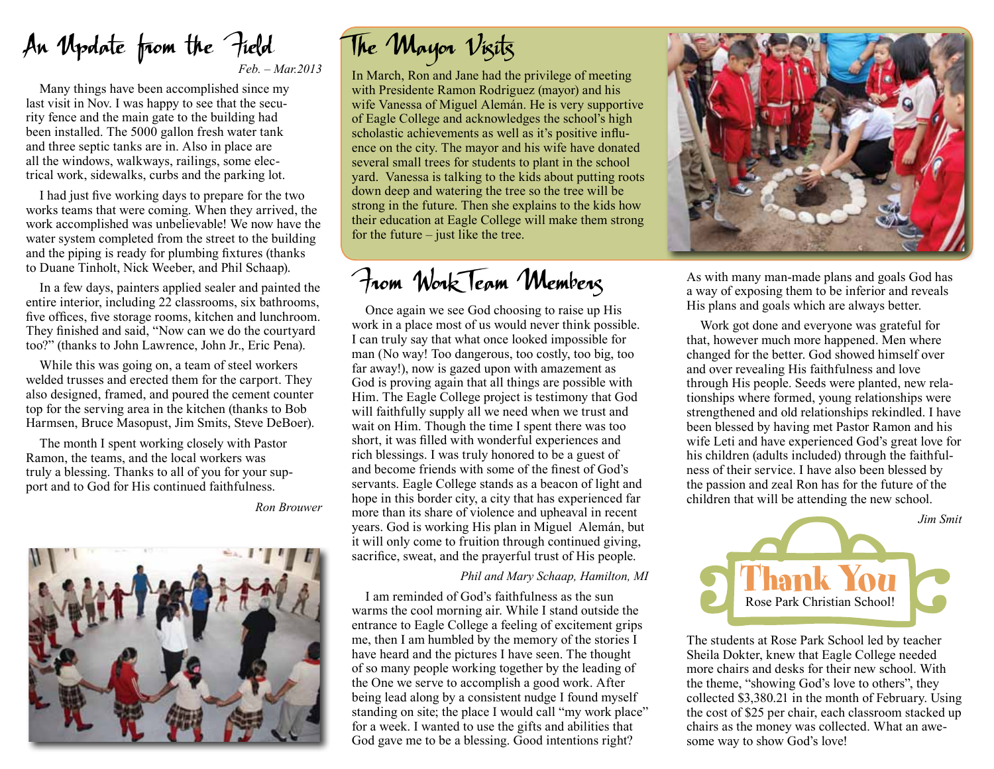An Update from the Field *Feb. – Mar.2013*

Many things have been accomplished since my last visit in Nov. I was happy to see that the security fence and the main gate to the building had been installed. The 5000 gallon fresh water tank and three septic tanks are in. Also in place are all the windows, walkways, railings, some electrical work, sidewalks, curbs and the parking lot.

I had just five working days to prepare for the two works teams that were coming. When they arrived, the work accomplished was unbelievable! We now have the water system completed from the street to the building and the piping is ready for plumbing fixtures (thanks to Duane Tinholt, Nick Weeber, and Phil Schaap).

In a few days, painters applied sealer and painted the entire interior, including 22 classrooms, six bathrooms, five offices, five storage rooms, kitchen and lunchroom. They finished and said, "Now can we do the courtyard too?" (thanks to John Lawrence, John Jr., Eric Pena).

While this was going on, a team of steel workers welded trusses and erected them for the carport. They also designed, framed, and poured the cement counter top for the serving area in the kitchen (thanks to Bob Harmsen, Bruce Masopust, Jim Smits, Steve DeBoer).

The month I spent working closely with Pastor Ramon, the teams, and the local workers was truly a blessing. Thanks to all of you for your support and to God for His continued faithfulness.

*Ron Brouwer*



## The Mayor Visits

In March, Ron and Jane had the privilege of meeting with Presidente Ramon Rodriguez (mayor) and his wife Vanessa of Miguel Alemán. He is very supportive of Eagle College and acknowledges the school's high scholastic achievements as well as it's positive influence on the city. The mayor and his wife have donated several small trees for students to plant in the school yard. Vanessa is talking to the kids about putting roots down deep and watering the tree so the tree will be strong in the future. Then she explains to the kids how their education at Eagle College will make them strong for the future – just like the tree.

From Work Team Members

Once again we see God choosing to raise up His work in a place most of us would never think possible. I can truly say that what once looked impossible for man (No way! Too dangerous, too costly, too big, too far away!), now is gazed upon with amazement as God is proving again that all things are possible with Him. The Eagle College project is testimony that God will faithfully supply all we need when we trust and wait on Him. Though the time I spent there was too short, it was filled with wonderful experiences and rich blessings. I was truly honored to be a guest of and become friends with some of the finest of God's servants. Eagle College stands as a beacon of light and hope in this border city, a city that has experienced far more than its share of violence and upheaval in recent years. God is working His plan in Miguel Alemán, but it will only come to fruition through continued giving, sacrifice, sweat, and the prayerful trust of His people.

## *Phil and Mary Schaap, Hamilton, MI*

I am reminded of God's faithfulness as the sun warms the cool morning air. While I stand outside the entrance to Eagle College a feeling of excitement grips me, then I am humbled by the memory of the stories I have heard and the pictures I have seen. The thought of so many people working together by the leading of the One we serve to accomplish a good work. After being lead along by a consistent nudge I found myself standing on site; the place I would call "my work place" for a week. I wanted to use the gifts and abilities that God gave me to be a blessing. Good intentions right?



As with many man-made plans and goals God has a way of exposing them to be inferior and reveals His plans and goals which are always better.

Work got done and everyone was grateful for that, however much more happened. Men where changed for the better. God showed himself over and over revealing His faithfulness and love through His people. Seeds were planted, new relationships where formed, young relationships were strengthened and old relationships rekindled. I have been blessed by having met Pastor Ramon and his wife Leti and have experienced God's great love for his children (adults included) through the faithfulness of their service. I have also been blessed by the passion and zeal Ron has for the future of the children that will be attending the new school.



The students at Rose Park School led by teacher Sheila Dokter, knew that Eagle College needed more chairs and desks for their new school. With the theme, "showing God's love to others", they collected \$3,380.21 in the month of February. Using the cost of \$25 per chair, each classroom stacked up chairs as the money was collected. What an awesome way to show God's love!